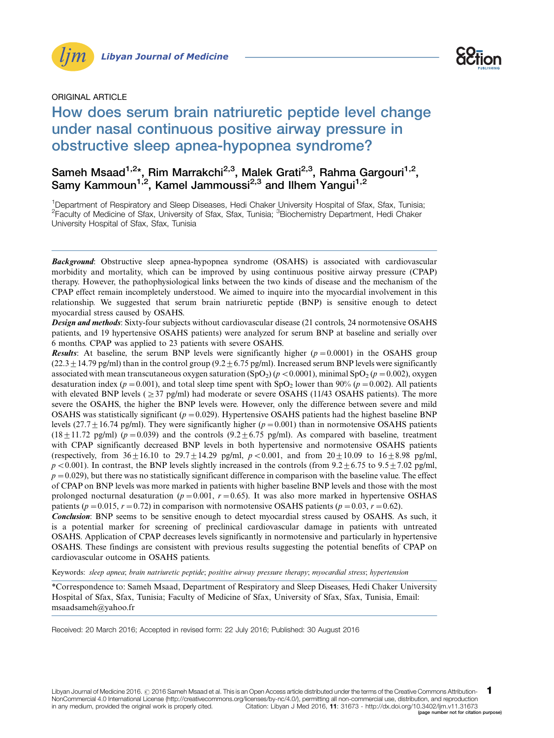



## ORIGINAL ARTICLE

# How does serum brain natriuretic peptide level change under nasal continuous positive airway pressure in obstructive sleep apnea-hypopnea syndrome?

## Sameh Msaad<sup>1,2</sup>\*, Rim Marrakchi<sup>2,3</sup>, Malek Grati<sup>2,3</sup>, Rahma Gargouri<sup>1,2</sup>, Samy Kammoun<sup>1,2</sup>, Kamel Jammoussi<sup>2,3</sup> and Ilhem Yangui<sup>1,2</sup>

<sup>1</sup>Department of Respiratory and Sleep Diseases, Hedi Chaker University Hospital of Sfax, Sfax, Tunisia; <sup>2</sup>Faculty of Medicine of Sfax, University of Sfax, Sfax, Tunisia; <sup>3</sup>Biochemistry Department, Hedi Chaker University Hospital of Sfax, Sfax, Tunisia

**Background:** Obstructive sleep apnea-hypopnea syndrome (OSAHS) is associated with cardiovascular morbidity and mortality, which can be improved by using continuous positive airway pressure (CPAP) therapy. However, the pathophysiological links between the two kinds of disease and the mechanism of the CPAP effect remain incompletely understood. We aimed to inquire into the myocardial involvement in this relationship. We suggested that serum brain natriuretic peptide (BNP) is sensitive enough to detect myocardial stress caused by OSAHS.

Design and methods: Sixty-four subjects without cardiovascular disease (21 controls, 24 normotensive OSAHS patients, and 19 hypertensive OSAHS patients) were analyzed for serum BNP at baseline and serially over 6 months. CPAP was applied to 23 patients with severe OSAHS.

**Results:** At baseline, the serum BNP levels were significantly higher  $(p=0.0001)$  in the OSAHS group  $(22.3 \pm 14.79 \text{ pg/ml})$  than in the control group  $(9.2 \pm 6.75 \text{ pg/ml})$ . Increased serum BNP levels were significantly associated with mean transcutaneous oxygen saturation (SpO<sub>2</sub>) ( $p < 0.0001$ ), minimal SpO<sub>2</sub> ( $p = 0.002$ ), oxygen desaturation index ( $p = 0.001$ ), and total sleep time spent with  $SpO<sub>2</sub>$  lower than 90% ( $p = 0.002$ ). All patients with elevated BNP levels ( $\geq$ 37 pg/ml) had moderate or severe OSAHS (11/43 OSAHS patients). The more severe the OSAHS, the higher the BNP levels were. However, only the difference between severe and mild OSAHS was statistically significant ( $p = 0.029$ ). Hypertensive OSAHS patients had the highest baseline BNP levels  $(27.7 \pm 16.74 \text{ pg/ml})$ . They were significantly higher ( $p = 0.001$ ) than in normotensive OSAHS patients  $(18 \pm 11.72 \text{ pg/ml})$  ( $p = 0.039$ ) and the controls  $(9.2 \pm 6.75 \text{ pg/ml})$ . As compared with baseline, treatment with CPAP significantly decreased BNP levels in both hypertensive and normotensive OSAHS patients (respectively, from  $36 \pm 16.10$  to  $29.7 \pm 14.29$  pg/ml,  $p < 0.001$ , and from  $20 \pm 10.09$  to  $16 \pm 8.98$  pg/ml,  $p < 0.001$ ). In contrast, the BNP levels slightly increased in the controls (from 9.2+6.75 to 9.5+7.02 pg/ml,  $p = 0.029$ ), but there was no statistically significant difference in comparison with the baseline value. The effect of CPAP on BNP levels was more marked in patients with higher baseline BNP levels and those with the most prolonged nocturnal desaturation ( $p = 0.001$ ,  $r = 0.65$ ). It was also more marked in hypertensive OSHAS patients ( $p = 0.015$ ,  $r = 0.72$ ) in comparison with normotensive OSAHS patients ( $p = 0.03$ ,  $r = 0.62$ ).

Conclusion: BNP seems to be sensitive enough to detect myocardial stress caused by OSAHS. As such, it is a potential marker for screening of preclinical cardiovascular damage in patients with untreated OSAHS. Application of CPAP decreases levels significantly in normotensive and particularly in hypertensive OSAHS. These findings are consistent with previous results suggesting the potential benefits of CPAP on cardiovascular outcome in OSAHS patients.

Keywords: sleep apnea; brain natriuretic peptide; positive airway pressure therapy; myocardial stress; hypertension

\*Correspondence to: Sameh Msaad, Department of Respiratory and Sleep Diseases, Hedi Chaker University Hospital of Sfax, Sfax, Tunisia; Faculty of Medicine of Sfax, University of Sfax, Sfax, Tunisia, Email: msaadsameh@yahoo.fr

Received: 20 March 2016; Accepted in revised form: 22 July 2016; Published: 30 August 2016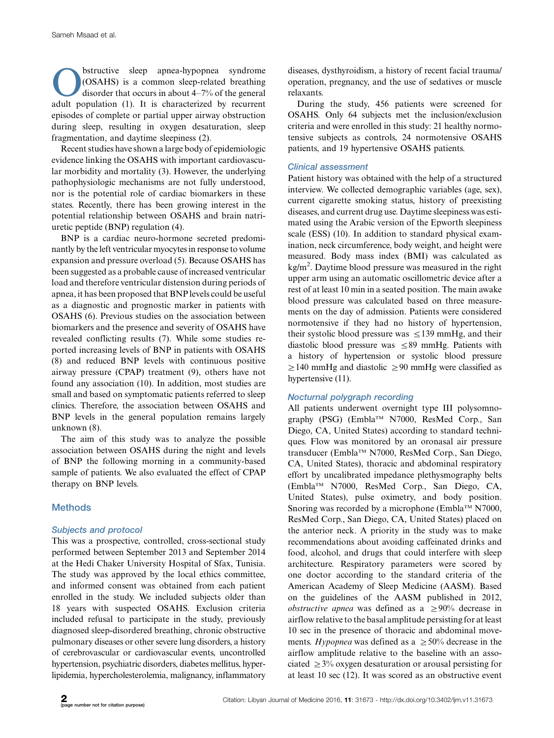**Obstructive** sleep apnea-hypopnea syndrome<br>
(OSAHS) is a common sleep-related breathing<br>
disorder that occurs in about 4–7% of the general<br>
adult population (1) It is characterized by recurrent (OSAHS) is a common sleep-related breathing adult population (1). It is characterized by recurrent episodes of complete or partial upper airway obstruction during sleep, resulting in oxygen desaturation, sleep fragmentation, and daytime sleepiness (2).

Recent studies have shown a large body of epidemiologic evidence linking the OSAHS with important cardiovascular morbidity and mortality (3). However, the underlying pathophysiologic mechanisms are not fully understood, nor is the potential role of cardiac biomarkers in these states. Recently, there has been growing interest in the potential relationship between OSAHS and brain natriuretic peptide (BNP) regulation (4).

BNP is a cardiac neuro-hormone secreted predominantly by the left ventricular myocytes in response tovolume expansion and pressure overload (5). Because OSAHS has been suggested as a probable cause of increased ventricular load and therefore ventricular distension during periods of apnea, it has been proposed that BNP levels could be useful as a diagnostic and prognostic marker in patients with OSAHS (6). Previous studies on the association between biomarkers and the presence and severity of OSAHS have revealed conflicting results (7). While some studies reported increasing levels of BNP in patients with OSAHS (8) and reduced BNP levels with continuous positive airway pressure (CPAP) treatment (9), others have not found any association (10). In addition, most studies are small and based on symptomatic patients referred to sleep clinics. Therefore, the association between OSAHS and BNP levels in the general population remains largely unknown (8).

The aim of this study was to analyze the possible association between OSAHS during the night and levels of BNP the following morning in a community-based sample of patients. We also evaluated the effect of CPAP therapy on BNP levels.

## **Methods**

#### Subjects and protocol

This was a prospective, controlled, cross-sectional study performed between September 2013 and September 2014 at the Hedi Chaker University Hospital of Sfax, Tunisia. The study was approved by the local ethics committee, and informed consent was obtained from each patient enrolled in the study. We included subjects older than 18 years with suspected OSAHS. Exclusion criteria included refusal to participate in the study, previously diagnosed sleep-disordered breathing, chronic obstructive pulmonary diseases or other severe lung disorders, a history of cerebrovascular or cardiovascular events, uncontrolled hypertension, psychiatric disorders, diabetes mellitus, hyperlipidemia, hypercholesterolemia, malignancy, inflammatory

diseases, dysthyroidism, a history of recent facial trauma/ operation, pregnancy, and the use of sedatives or muscle relaxants.

During the study, 456 patients were screened for OSAHS. Only 64 subjects met the inclusion/exclusion criteria and were enrolled in this study: 21 healthy normotensive subjects as controls, 24 normotensive OSAHS patients, and 19 hypertensive OSAHS patients.

## Clinical assessment

Patient history was obtained with the help of a structured interview. We collected demographic variables (age, sex), current cigarette smoking status, history of preexisting diseases, and current drug use. Daytime sleepiness was estimated using the Arabic version of the Epworth sleepiness scale (ESS) (10). In addition to standard physical examination, neck circumference, body weight, and height were measured. Body mass index (BMI) was calculated as kg/m<sup>2</sup>. Daytime blood pressure was measured in the right upper arm using an automatic oscillometric device after a rest of at least 10 min in a seated position. The main awake blood pressure was calculated based on three measurements on the day of admission. Patients were considered normotensive if they had no history of hypertension, their systolic blood pressure was  $\leq$ 139 mmHg, and their diastolic blood pressure was  $\leq 89$  mmHg. Patients with a history of hypertension or systolic blood pressure  $\geq$  140 mmHg and diastolic  $\geq$  90 mmHg were classified as hypertensive (11).

## Nocturnal polygraph recording

All patients underwent overnight type III polysomnography (PSG) (Embla™ N7000, ResMed Corp., San Diego, CA, United States) according to standard techniques. Flow was monitored by an oronasal air pressure transducer (Embla™ N7000, ResMed Corp., San Diego, CA, United States), thoracic and abdominal respiratory effort by uncalibrated impedance plethysmography belts (EmblaTM N7000, ResMed Corp., San Diego, CA, United States), pulse oximetry, and body position. Snoring was recorded by a microphone (Embla<sup>TM</sup> N7000, ResMed Corp., San Diego, CA, United States) placed on the anterior neck. A priority in the study was to make recommendations about avoiding caffeinated drinks and food, alcohol, and drugs that could interfere with sleep architecture. Respiratory parameters were scored by one doctor according to the standard criteria of the American Academy of Sleep Medicine (AASM). Based on the guidelines of the AASM published in 2012, *obstructive apnea* was defined as a  $\geq 90\%$  decrease in airflow relative to the basal amplitude persisting for at least 10 sec in the presence of thoracic and abdominal movements. Hypopnea was defined as a  $\geq 50\%$  decrease in the airflow amplitude relative to the baseline with an associated  $\geq$ 3% oxygen desaturation or arousal persisting for at least 10 sec (12). It was scored as an obstructive event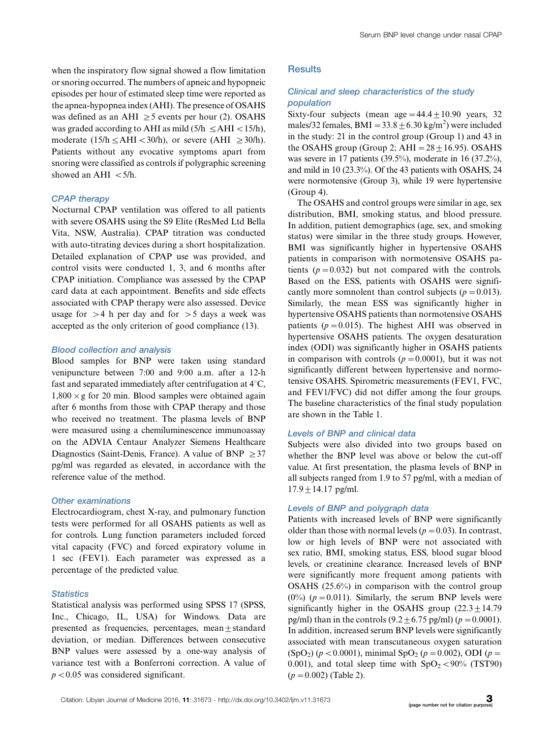when the inspiratory flow signal showed a flow limitation or snoring occurred. The numbers of apneic and hypopneic episodes per hour of estimated sleep time were reported as the apnea-hypopnea index (AHI). The presence of OSAHS was defined as an AHI  $\geq$  5 events per hour (2). OSAHS was graded according to AHI as mild  $(5/h \leq AHI < 15/h)$ , moderate (15/h  $\leq$  AHI  $<$  30/h), or severe (AHI  $\geq$  30/h). Patients without any evocative symptoms apart from snoring were classified as controls if polygraphic screening showed an AHI  $\lt$  5/h.

#### CPAP therapy

Nocturnal CPAP ventilation was offered to all patients with severe OSAHS using the S9 Elite (ResMed Ltd Bella Vita, NSW, Australia). CPAP titration was conducted with auto-titrating devices during a short hospitalization. Detailed explanation of CPAP use was provided, and control visits were conducted 1, 3, and 6 months after CPAP initiation. Compliance was assessed by the CPAP card data at each appointment. Benefits and side effects associated with CPAP therapy were also assessed. Device usage for  $>4$  h per day and for  $>5$  days a week was accepted as the only criterion of good compliance (13).

#### Blood collection and analysis

Blood samples for BNP were taken using standard venipuncture between 7:00 and 9:00 a.m. after a 12-h fast and separated immediately after centrifugation at  $4^{\circ}$ C,  $1,800 \times g$  for 20 min. Blood samples were obtained again after 6 months from those with CPAP therapy and those who received no treatment. The plasma levels of BNP were measured using a chemiluminescence immunoassay on the ADVIA Centaur Analyzer Siemens Healthcare Diagnostics (Saint-Denis, France). A value of BNP  $\geq$  37 pg/ml was regarded as elevated, in accordance with the reference value of the method.

#### Other examinations

Electrocardiogram, chest X-ray, and pulmonary function tests were performed for all OSAHS patients as well as for controls. Lung function parameters included forced vital capacity (FVC) and forced expiratory volume in 1 sec (FEV1). Each parameter was expressed as a percentage of the predicted value.

## **Statistics**

Statistical analysis was performed using SPSS 17 (SPSS, Inc., Chicago, IL, USA) for Windows. Data are presented as frequencies, percentages, mean $\pm$ standard deviation, or median. Differences between consecutive BNP values were assessed by a one-way analysis of variance test with a Bonferroni correction. A value of  $p < 0.05$  was considered significant.

#### **Results**

## Clinical and sleep characteristics of the study population

Sixty-four subjects (mean age  $=44.4 \pm 10.90$  years, 32 males/32 females,  $BMI = 33.8 \pm 6.30$  kg/m<sup>2</sup>) were included in the study: 21 in the control group (Group 1) and 43 in the OSAHS group (Group 2;  $AHI = 28 \pm 16.95$ ). OSAHS was severe in 17 patients (39.5%), moderate in 16 (37.2%), and mild in 10 (23.3%). Of the 43 patients with OSAHS, 24 were normotensive (Group 3), while 19 were hypertensive (Group 4).

The OSAHS and control groups were similar in age, sex distribution, BMI, smoking status, and blood pressure. In addition, patient demographics (age, sex, and smoking status) were similar in the three study groups. However, BMI was significantly higher in hypertensive OSAHS patients in comparison with normotensive OSAHS patients ( $p = 0.032$ ) but not compared with the controls. Based on the ESS, patients with OSAHS were significantly more somnolent than control subjects ( $p = 0.013$ ). Similarly, the mean ESS was significantly higher in hypertensive OSAHS patients than normotensive OSAHS patients ( $p = 0.015$ ). The highest AHI was observed in hypertensive OSAHS patients. The oxygen desaturation index (ODI) was significantly higher in OSAHS patients in comparison with controls  $(p = 0.0001)$ , but it was not significantly different between hypertensive and normotensive OSAHS. Spirometric measurements (FEV1, FVC, and FEV1/FVC) did not differ among the four groups. The baseline characteristics of the final study population are shown in the Table 1.

#### Levels of BNP and clinical data

Subjects were also divided into two groups based on whether the BNP level was above or below the cut-off value. At first presentation, the plasma levels of BNP in all subjects ranged from 1.9 to 57 pg/ml, with a median of  $17.9 \pm 14.17$  pg/ml.

#### Levels of BNP and polygraph data

Patients with increased levels of BNP were significantly older than those with normal levels ( $p = 0.03$ ). In contrast, low or high levels of BNP were not associated with sex ratio, BMI, smoking status, ESS, blood sugar blood levels, or creatinine clearance. Increased levels of BNP were significantly more frequent among patients with OSAHS (25.6%) in comparison with the control group  $(0\%)$  ( $p = 0.011$ ). Similarly, the serum BNP levels were significantly higher in the OSAHS group  $(22.3 \pm 14.79$ pg/ml) than in the controls  $(9.2 \pm 6.75 \text{ pg/ml}) (p = 0.0001)$ . In addition, increased serum BNP levels were significantly associated with mean transcutaneous oxygen saturation  $(SpO<sub>2</sub>)$  ( $p < 0.0001$ ), minimal SpO<sub>2</sub> ( $p = 0.002$ ), ODI ( $p =$ 0.001), and total sleep time with  $SpO<sub>2</sub> < 90\%$  (TST90)  $(p = 0.002)$  (Table 2).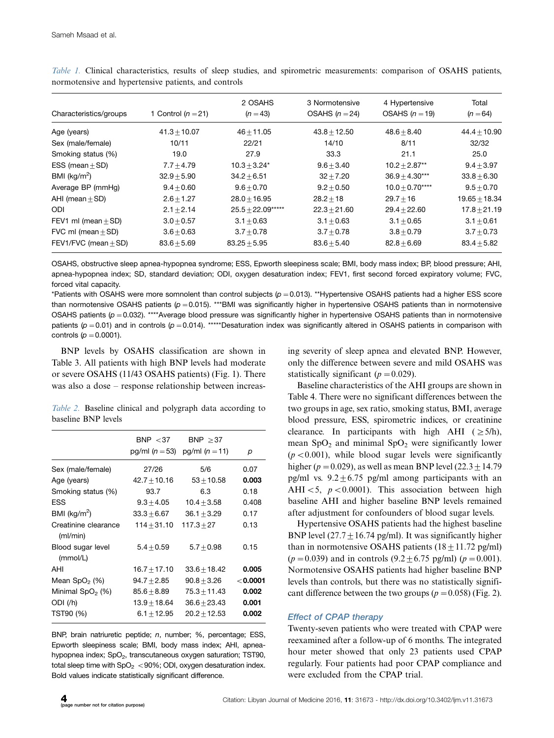| Characteristics/groups   | 1 Control ( $n = 21$ ) | 2 OSAHS<br>$(n=43)$ | 3 Normotensive<br>OSAHS $(n=24)$ | 4 Hypertensive<br>OSAHS $(n = 19)$ | Total<br>$(n = 64)$ |
|--------------------------|------------------------|---------------------|----------------------------------|------------------------------------|---------------------|
| Age (years)              | $41.3 + 10.07$         | $46 + 11.05$        | $43.8 + 12.50$                   | $48.6 + 8.40$                      | $44.4 + 10.90$      |
| Sex (male/female)        | 10/11                  | 22/21               | 14/10                            | 8/11                               | 32/32               |
| Smoking status (%)       | 19.0                   | 27.9                | 33.3                             | 21.1                               | 25.0                |
| ESS (mean $\pm$ SD)      | $7.7 + 4.79$           | $10.3 + 3.24*$      | $9.6 + 3.40$                     | $10.2 + 2.87**$                    | $9.4 + 3.97$        |
| BMI ( $kg/m2$ )          | $32.9 + 5.90$          | $34.2 + 6.51$       | $32 + 7.20$                      | $36.9 + 4.30***$                   | $33.8 + 6.30$       |
| Average BP (mmHg)        | $9.4 \pm 0.60$         | $9.6 + 0.70$        | $9.2 + 0.50$                     | $10.0 + 0.70***$                   | $9.5 + 0.70$        |
| AHI (mean $\pm$ SD)      | $2.6 + 1.27$           | $28.0 + 16.95$      | $28.2 + 18$                      | $29.7 + 16$                        | $19.65 + 18.34$     |
| ODI                      | $2.1 \pm 2.14$         | $25.5 \pm 22.09***$ | $22.3 + 21.60$                   | $29.4 + 22.60$                     | $17.8 + 21.19$      |
| FEV1 ml (mean $\pm$ SD)  | $3.0 + 0.57$           | $3.1 + 0.63$        | $3.1 + 0.63$                     | $3.1 + 0.65$                       | $3.1 + 0.61$        |
| FVC ml (mean $\pm$ SD)   | $3.6 + 0.63$           | $3.7 + 0.78$        | $3.7 + 0.78$                     | $3.8 + 0.79$                       | $3.7 + 0.73$        |
| FEV1/FVC (mean $\pm$ SD) | $83.6 + 5.69$          | $83.25 + 5.95$      | $83.6 + 5.40$                    | $82.8 + 6.69$                      | $83.4 + 5.82$       |

Table 1. Clinical characteristics, results of sleep studies, and spirometric measurements: comparison of OSAHS patients, normotensive and hypertensive patients, and controls

OSAHS, obstructive sleep apnea-hypopnea syndrome; ESS, Epworth sleepiness scale; BMI, body mass index; BP, blood pressure; AHI, apnea-hypopnea index; SD, standard deviation; ODI, oxygen desaturation index; FEV1, first second forced expiratory volume; FVC, forced vital capacity.

\*Patients with OSAHS were more somnolent than control subjects ( $p=0.013$ ). \*\*Hypertensive OSAHS patients had a higher ESS score than normotensive OSAHS patients (p = 0.015). \*\*\*BMI was significantly higher in hypertensive OSAHS patients than in normotensive OSAHS patients ( $p = 0.032$ ). \*\*\*\*Average blood pressure was significantly higher in hypertensive OSAHS patients than in normotensive patients (p = 0.01) and in controls (p = 0.014). \*\*\*\*\*Desaturation index was significantly altered in OSAHS patients in comparison with controls ( $p = 0.0001$ ).

BNP levels by OSAHS classification are shown in Table 3. All patients with high BNP levels had moderate or severe OSAHS (11/43 OSAHS patients) (Fig. 1). There was also a dose – response relationship between increas-

Table 2. Baseline clinical and polygraph data according to baseline BNP levels

|                                  | BNP $<$ 37<br>$pg/ml (n = 53)$ | BNP > 37<br>pg/ml $(n = 11)$ | р          |
|----------------------------------|--------------------------------|------------------------------|------------|
| Sex (male/female)                | 27/26                          | 5/6                          | 0.07       |
| Age (years)                      | $42.7 + 10.16$                 | $53 + 10.58$                 | 0.003      |
| Smoking status (%)               | 93.7                           | 6.3                          | 0.18       |
| <b>ESS</b>                       | $9.3 + 4.05$                   | $10.4 \pm 3.58$              | 0.408      |
| BMI ( $kg/m2$ )                  | $33.3 + 6.67$                  | $36.1 + 3.29$                | 0.17       |
| Creatinine clearance<br>(mI/min) | $114 + 31.10$                  | $117.3 + 27$                 | 0.13       |
| Blood sugar level<br>(mmol/L)    | $5.4 + 0.59$                   | $5.7 + 0.98$                 | 0.15       |
| AHI                              | $16.7 + 17.10$                 | $33.6 + 18.42$               | 0.005      |
| Mean $SpO2(%)$                   | $94.7 + 2.85$                  | $90.8 + 3.26$                | $<$ 0.0001 |
| Minimal $SpO2$ (%)               | $85.6 + 8.89$                  | $75.3 + 11.43$               | 0.002      |
| ODI (/h)                         | $13.9 \pm 18.64$               | $36.6 + 23.43$               | 0.001      |
| TST90 (%)                        | $6.1 + 12.95$                  | $20.2 + 12.53$               | 0.002      |

BNP, brain natriuretic peptide; n, number; %, percentage; ESS, Epworth sleepiness scale; BMI, body mass index; AHI, apneahypopnea index; SpO<sub>2</sub>, transcutaneous oxygen saturation; TST90, total sleep time with  $SpO<sub>2</sub> < 90$ %; ODI, oxygen desaturation index. Bold values indicate statistically significant difference.

ing severity of sleep apnea and elevated BNP. However, only the difference between severe and mild OSAHS was statistically significant ( $p = 0.029$ ).

Baseline characteristics of the AHI groups are shown in Table 4. There were no significant differences between the two groups in age, sex ratio, smoking status, BMI, average blood pressure, ESS, spirometric indices, or creatinine clearance. In participants with high AHI ( $\geq$ 5/h), mean  $SpO<sub>2</sub>$  and minimal  $SpO<sub>2</sub>$  were significantly lower  $(p < 0.001)$ , while blood sugar levels were significantly higher ( $p = 0.029$ ), as well as mean BNP level (22.3  $\pm$  14.79 pg/ml vs.  $9.2 \pm 6.75$  pg/ml among participants with an AHI $\leq$ 5,  $p \leq 0.0001$ ). This association between high baseline AHI and higher baseline BNP levels remained after adjustment for confounders of blood sugar levels.

Hypertensive OSAHS patients had the highest baseline BNP level  $(27.7 \pm 16.74 \text{ pg/ml})$ . It was significantly higher than in normotensive OSAHS patients  $(18 \pm 11.72 \text{ pg/ml})$  $(p = 0.039)$  and in controls  $(9.2 \pm 6.75 \text{ pg/ml})$   $(p = 0.001)$ . Normotensive OSAHS patients had higher baseline BNP levels than controls, but there was no statistically significant difference between the two groups ( $p = 0.058$ ) (Fig. 2).

#### Effect of CPAP therapy

Twenty-seven patients who were treated with CPAP were reexamined after a follow-up of 6 months. The integrated hour meter showed that only 23 patients used CPAP regularly. Four patients had poor CPAP compliance and were excluded from the CPAP trial.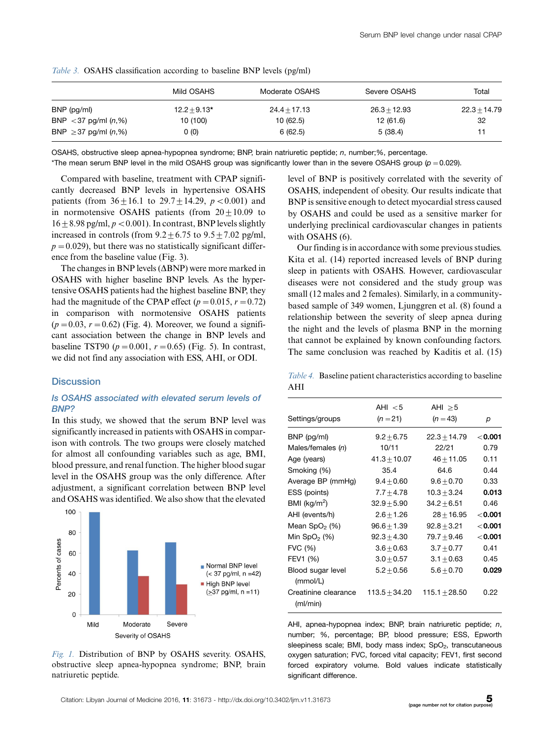|                           | Mild OSAHS     | Moderate OSAHS | Severe OSAHS   | Total          |
|---------------------------|----------------|----------------|----------------|----------------|
| $BNP$ (pg/ml)             | $12.2 + 9.13*$ | $24.4 + 17.13$ | $26.3 + 12.93$ | $22.3 + 14.79$ |
| BNP < 37 pg/ml $(n, %)$   | 10 (100)       | 10(62.5)       | 12(61.6)       | 32             |
| BNP $\geq$ 37 pg/ml (n,%) | 0(0)           | 6 (62.5)       | 5(38.4)        | 11             |

Table 3. OSAHS classification according to baseline BNP levels (pg/ml)

OSAHS, obstructive sleep apnea-hypopnea syndrome; BNP, brain natriuretic peptide; n, number;%, percentage.

\*The mean serum BNP level in the mild OSAHS group was significantly lower than in the severe OSAHS group ( $\rho$  = 0.029).

Compared with baseline, treatment with CPAP significantly decreased BNP levels in hypertensive OSAHS patients (from  $36 \pm 16.1$  to  $29.7 \pm 14.29$ ,  $p < 0.001$ ) and in normotensive OSAHS patients (from  $20 \pm 10.09$  to  $16\pm8.98$  pg/ml,  $p < 0.001$ ). In contrast, BNP levels slightly increased in controls (from  $9.2 \pm 6.75$  to  $9.5 \pm 7.02$  pg/ml,  $p = 0.029$ ), but there was no statistically significant difference from the baseline value (Fig. 3).

The changes in BNP levels  $(\Delta BNP)$  were more marked in OSAHS with higher baseline BNP levels. As the hypertensive OSAHS patients had the highest baseline BNP, they had the magnitude of the CPAP effect ( $p = 0.015$ ,  $r = 0.72$ ) in comparison with normotensive OSAHS patients  $(p=0.03, r=0.62)$  (Fig. 4). Moreover, we found a significant association between the change in BNP levels and baseline TST90 ( $p = 0.001$ ,  $r = 0.65$ ) (Fig. 5). In contrast, we did not find any association with ESS, AHI, or ODI.

### **Discussion**

## Is OSAHS associated with elevated serum levels of BNP?

In this study, we showed that the serum BNP level was significantly increased in patients with OSAHS in comparison with controls. The two groups were closely matched for almost all confounding variables such as age, BMI, blood pressure, and renal function. The higher blood sugar level in the OSAHS group was the only difference. After adjustment, a significant correlation between BNP level and OSAHS was identified. We also show that the elevated



Fig. 1. Distribution of BNP by OSAHS severity. OSAHS, obstructive sleep apnea-hypopnea syndrome; BNP, brain natriuretic peptide.

level of BNP is positively correlated with the severity of OSAHS, independent of obesity. Our results indicate that BNP is sensitive enough to detect myocardial stress caused by OSAHS and could be used as a sensitive marker for underlying preclinical cardiovascular changes in patients with OSAHS (6).

Our finding is in accordance with some previous studies. Kita et al. (14) reported increased levels of BNP during sleep in patients with OSAHS. However, cardiovascular diseases were not considered and the study group was small (12 males and 2 females). Similarly, in a communitybased sample of 349 women, Ljunggren et al. (8) found a relationship between the severity of sleep apnea during the night and the levels of plasma BNP in the morning that cannot be explained by known confounding factors. The same conclusion was reached by Kaditis et al. (15)

Table 4. Baseline patient characteristics according to baseline AHI

| Settings/groups                  | AHI $<$ 5<br>$(n=21)$ | AHI $\geq$ 5<br>$(n = 43)$ | р         |
|----------------------------------|-----------------------|----------------------------|-----------|
| BNP (pg/ml)                      | $9.2 + 6.75$          | $22.3 + 14.79$             | $<$ 0.001 |
| Males/females (n)                | 10/11                 | 22/21                      | 0.79      |
| Age (years)                      | $41.3 + 10.07$        | $46 + 11.05$               | 0.11      |
| Smoking (%)                      | 35.4                  | 64.6                       | 0.44      |
| Average BP (mmHg)                | $9.4 + 0.60$          | $9.6 + 0.70$               | 0.33      |
| ESS (points)                     | $7.7 + 4.78$          | $10.3 + 3.24$              | 0.013     |
| BMI ( $kg/m2$ )                  | $32.9 + 5.90$         | $34.2 + 6.51$              | 0.46      |
| AHI (events/h)                   | $2.6 + 1.26$          | $28 + 16.95$               | $<$ 0.001 |
| Mean $SpO2(%)$                   | $96.6 + 1.39$         | $92.8 + 3.21$              | $<$ 0.001 |
| Min SpO <sub>2</sub> $(\%)$      | $92.3 \pm 4.30$       | $79.7 + 9.46$              | $<$ 0.001 |
| FVC (%)                          | $3.6 \pm 0.63$        | $3.7 + 0.77$               | 0.41      |
| FEV1 (%)                         | $3.0 + 0.57$          | $3.1 + 0.63$               | 0.45      |
| Blood sugar level<br>(mmol/L)    | $5.2 + 0.56$          | $5.6 + 0.70$               | 0.029     |
| Creatinine clearance<br>(mI/min) | $113.5 + 34.20$       | $115.1 + 28.50$            | 0.22      |

AHI, apnea-hypopnea index; BNP, brain natriuretic peptide; n, number; %, percentage; BP, blood pressure; ESS, Epworth sleepiness scale; BMI, body mass index; SpO<sub>2</sub>, transcutaneous oxygen saturation; FVC, forced vital capacity; FEV1, first second forced expiratory volume. Bold values indicate statistically significant difference.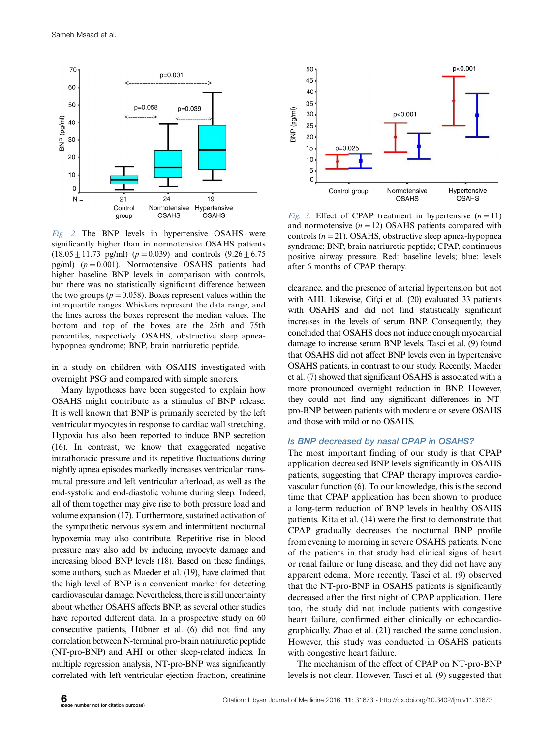

Fig. 2. The BNP levels in hypertensive OSAHS were significantly higher than in normotensive OSAHS patients  $(18.05 \pm 11.73 \text{ pg/ml})$  ( $p = 0.039$ ) and controls  $(9.26 \pm 6.75 \text{ nm})$ pg/ml)  $(p = 0.001)$ . Normotensive OSAHS patients had higher baseline BNP levels in comparison with controls, but there was no statistically significant difference between the two groups ( $p = 0.058$ ). Boxes represent values within the interquartile ranges. Whiskers represent the data range, and the lines across the boxes represent the median values. The bottom and top of the boxes are the 25th and 75th percentiles, respectively. OSAHS, obstructive sleep apneahypopnea syndrome; BNP, brain natriuretic peptide.

in a study on children with OSAHS investigated with overnight PSG and compared with simple snorers.

Many hypotheses have been suggested to explain how OSAHS might contribute as a stimulus of BNP release. It is well known that BNP is primarily secreted by the left ventricular myocytes in response to cardiac wall stretching. Hypoxia has also been reported to induce BNP secretion (16). In contrast, we know that exaggerated negative intrathoracic pressure and its repetitive fluctuations during nightly apnea episodes markedly increases ventricular transmural pressure and left ventricular afterload, as well as the end-systolic and end-diastolic volume during sleep. Indeed, all of them together may give rise to both pressure load and volume expansion (17). Furthermore, sustained activation of the sympathetic nervous system and intermittent nocturnal hypoxemia may also contribute. Repetitive rise in blood pressure may also add by inducing myocyte damage and increasing blood BNP levels (18). Based on these findings, some authors, such as Maeder et al. (19), have claimed that the high level of BNP is a convenient marker for detecting cardiovascular damage. Nevertheless, there is still uncertainty about whether OSAHS affects BNP, as several other studies have reported different data. In a prospective study on 60 consecutive patients, Hübner et al. (6) did not find any correlation between N-terminal pro-brain natriuretic peptide (NT-pro-BNP) and AHI or other sleep-related indices. In multiple regression analysis, NT-pro-BNP was significantly correlated with left ventricular ejection fraction, creatinine



Fig. 3. Effect of CPAP treatment in hypertensive  $(n=11)$ and normotensive  $(n = 12)$  OSAHS patients compared with controls  $(n=21)$ . OSAHS, obstructive sleep apnea-hypopnea syndrome; BNP, brain natriuretic peptide; CPAP, continuous positive airway pressure. Red: baseline levels; blue: levels after 6 months of CPAP therapy.

clearance, and the presence of arterial hypertension but not with AHI. Likewise, Cifci et al. (20) evaluated 33 patients with OSAHS and did not find statistically significant increases in the levels of serum BNP. Consequently, they concluded that OSAHS does not induce enough myocardial damage to increase serum BNP levels. Tasci et al. (9) found that OSAHS did not affect BNP levels even in hypertensive OSAHS patients, in contrast to our study. Recently, Maeder et al. (7) showed that significant OSAHS is associated with a more pronounced overnight reduction in BNP. However, they could not find any significant differences in NTpro-BNP between patients with moderate or severe OSAHS and those with mild or no OSAHS.

#### Is BNP decreased by nasal CPAP in OSAHS?

The most important finding of our study is that CPAP application decreased BNP levels significantly in OSAHS patients, suggesting that CPAP therapy improves cardiovascular function (6). To our knowledge, this is the second time that CPAP application has been shown to produce a long-term reduction of BNP levels in healthy OSAHS patients. Kita et al. (14) were the first to demonstrate that CPAP gradually decreases the nocturnal BNP profile from evening to morning in severe OSAHS patients. None of the patients in that study had clinical signs of heart or renal failure or lung disease, and they did not have any apparent edema. More recently, Tasci et al. (9) observed that the NT-pro-BNP in OSAHS patients is significantly decreased after the first night of CPAP application. Here too, the study did not include patients with congestive heart failure, confirmed either clinically or echocardiographically. Zhao et al. (21) reached the same conclusion. However, this study was conducted in OSAHS patients with congestive heart failure.

The mechanism of the effect of CPAP on NT-pro-BNP levels is not clear. However, Tasci et al. (9) suggested that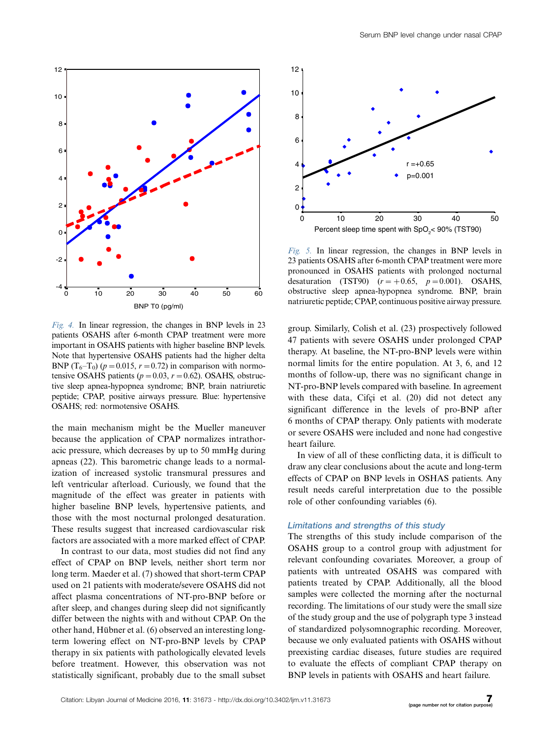

Fig. 4. In linear regression, the changes in BNP levels in 23 patients OSAHS after 6-month CPAP treatment were more important in OSAHS patients with higher baseline BNP levels. Note that hypertensive OSAHS patients had the higher delta BNP (T<sub>6</sub>-T<sub>0</sub>) ( $p = 0.015$ ,  $r = 0.72$ ) in comparison with normotensive OSAHS patients ( $p = 0.03$ ,  $r = 0.62$ ). OSAHS, obstructive sleep apnea-hypopnea syndrome; BNP, brain natriuretic peptide; CPAP, positive airways pressure. Blue: hypertensive OSAHS; red: normotensive OSAHS.

the main mechanism might be the Mueller maneuver because the application of CPAP normalizes intrathoracic pressure, which decreases by up to 50 mmHg during apneas (22). This barometric change leads to a normalization of increased systolic transmural pressures and left ventricular afterload. Curiously, we found that the magnitude of the effect was greater in patients with higher baseline BNP levels, hypertensive patients, and those with the most nocturnal prolonged desaturation. These results suggest that increased cardiovascular risk factors are associated with a more marked effect of CPAP.

In contrast to our data, most studies did not find any effect of CPAP on BNP levels, neither short term nor long term. Maeder et al. (7) showed that short-term CPAP used on 21 patients with moderate/severe OSAHS did not affect plasma concentrations of NT-pro-BNP before or after sleep, and changes during sleep did not significantly differ between the nights with and without CPAP. On the other hand, Hübner et al. (6) observed an interesting longterm lowering effect on NT-pro-BNP levels by CPAP therapy in six patients with pathologically elevated levels before treatment. However, this observation was not statistically significant, probably due to the small subset



Fig. 5. In linear regression, the changes in BNP levels in 23 patients OSAHS after 6-month CPAP treatment were more pronounced in OSAHS patients with prolonged nocturnal desaturation (TST90)  $(r = +0.65, p = 0.001)$ . OSAHS, obstructive sleep apnea-hypopnea syndrome. BNP, brain natriuretic peptide; CPAP, continuous positive airway pressure.

group. Similarly, Colish et al. (23) prospectively followed 47 patients with severe OSAHS under prolonged CPAP therapy. At baseline, the NT-pro-BNP levels were within normal limits for the entire population. At 3, 6, and 12 months of follow-up, there was no significant change in NT-pro-BNP levels compared with baseline. In agreement with these data, Cifci et al. (20) did not detect any significant difference in the levels of pro-BNP after 6 months of CPAP therapy. Only patients with moderate or severe OSAHS were included and none had congestive heart failure.

In view of all of these conflicting data, it is difficult to draw any clear conclusions about the acute and long-term effects of CPAP on BNP levels in OSHAS patients. Any result needs careful interpretation due to the possible role of other confounding variables (6).

#### Limitations and strengths of this study

The strengths of this study include comparison of the OSAHS group to a control group with adjustment for relevant confounding covariates. Moreover, a group of patients with untreated OSAHS was compared with patients treated by CPAP. Additionally, all the blood samples were collected the morning after the nocturnal recording. The limitations of our study were the small size of the study group and the use of polygraph type 3 instead of standardized polysomnographic recording. Moreover, because we only evaluated patients with OSAHS without preexisting cardiac diseases, future studies are required to evaluate the effects of compliant CPAP therapy on BNP levels in patients with OSAHS and heart failure.